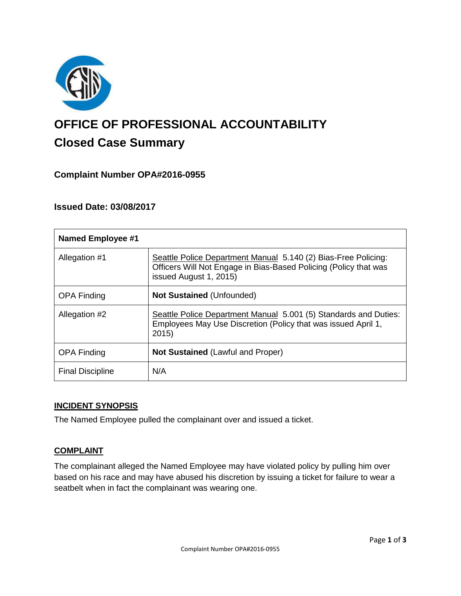

# **OFFICE OF PROFESSIONAL ACCOUNTABILITY Closed Case Summary**

# **Complaint Number OPA#2016-0955**

## **Issued Date: 03/08/2017**

| <b>Named Employee #1</b> |                                                                                                                                                              |
|--------------------------|--------------------------------------------------------------------------------------------------------------------------------------------------------------|
| Allegation #1            | Seattle Police Department Manual 5.140 (2) Bias-Free Policing:<br>Officers Will Not Engage in Bias-Based Policing (Policy that was<br>issued August 1, 2015) |
| <b>OPA Finding</b>       | Not Sustained (Unfounded)                                                                                                                                    |
| Allegation #2            | Seattle Police Department Manual 5.001 (5) Standards and Duties:<br>Employees May Use Discretion (Policy that was issued April 1,<br>2015                    |
| <b>OPA Finding</b>       | <b>Not Sustained (Lawful and Proper)</b>                                                                                                                     |
| <b>Final Discipline</b>  | N/A                                                                                                                                                          |

#### **INCIDENT SYNOPSIS**

The Named Employee pulled the complainant over and issued a ticket.

## **COMPLAINT**

The complainant alleged the Named Employee may have violated policy by pulling him over based on his race and may have abused his discretion by issuing a ticket for failure to wear a seatbelt when in fact the complainant was wearing one.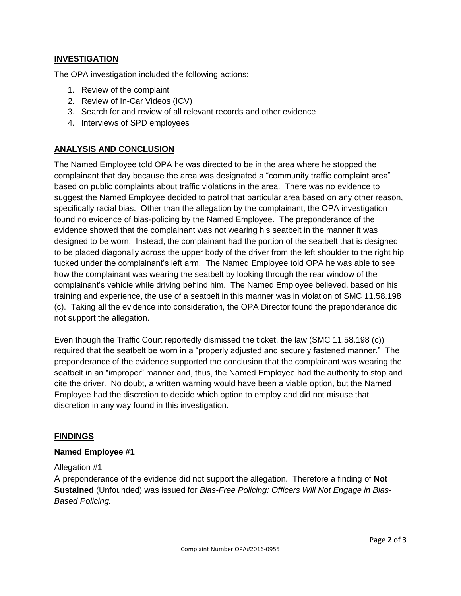### **INVESTIGATION**

The OPA investigation included the following actions:

- 1. Review of the complaint
- 2. Review of In-Car Videos (ICV)
- 3. Search for and review of all relevant records and other evidence
- 4. Interviews of SPD employees

### **ANALYSIS AND CONCLUSION**

The Named Employee told OPA he was directed to be in the area where he stopped the complainant that day because the area was designated a "community traffic complaint area" based on public complaints about traffic violations in the area. There was no evidence to suggest the Named Employee decided to patrol that particular area based on any other reason, specifically racial bias. Other than the allegation by the complainant, the OPA investigation found no evidence of bias-policing by the Named Employee. The preponderance of the evidence showed that the complainant was not wearing his seatbelt in the manner it was designed to be worn. Instead, the complainant had the portion of the seatbelt that is designed to be placed diagonally across the upper body of the driver from the left shoulder to the right hip tucked under the complainant's left arm. The Named Employee told OPA he was able to see how the complainant was wearing the seatbelt by looking through the rear window of the complainant's vehicle while driving behind him. The Named Employee believed, based on his training and experience, the use of a seatbelt in this manner was in violation of SMC 11.58.198 (c). Taking all the evidence into consideration, the OPA Director found the preponderance did not support the allegation.

Even though the Traffic Court reportedly dismissed the ticket, the law (SMC 11.58.198 (c)) required that the seatbelt be worn in a "properly adjusted and securely fastened manner." The preponderance of the evidence supported the conclusion that the complainant was wearing the seatbelt in an "improper" manner and, thus, the Named Employee had the authority to stop and cite the driver. No doubt, a written warning would have been a viable option, but the Named Employee had the discretion to decide which option to employ and did not misuse that discretion in any way found in this investigation.

#### **FINDINGS**

#### **Named Employee #1**

#### Allegation #1

A preponderance of the evidence did not support the allegation. Therefore a finding of **Not Sustained** (Unfounded) was issued for *Bias-Free Policing: Officers Will Not Engage in Bias-Based Policing.*